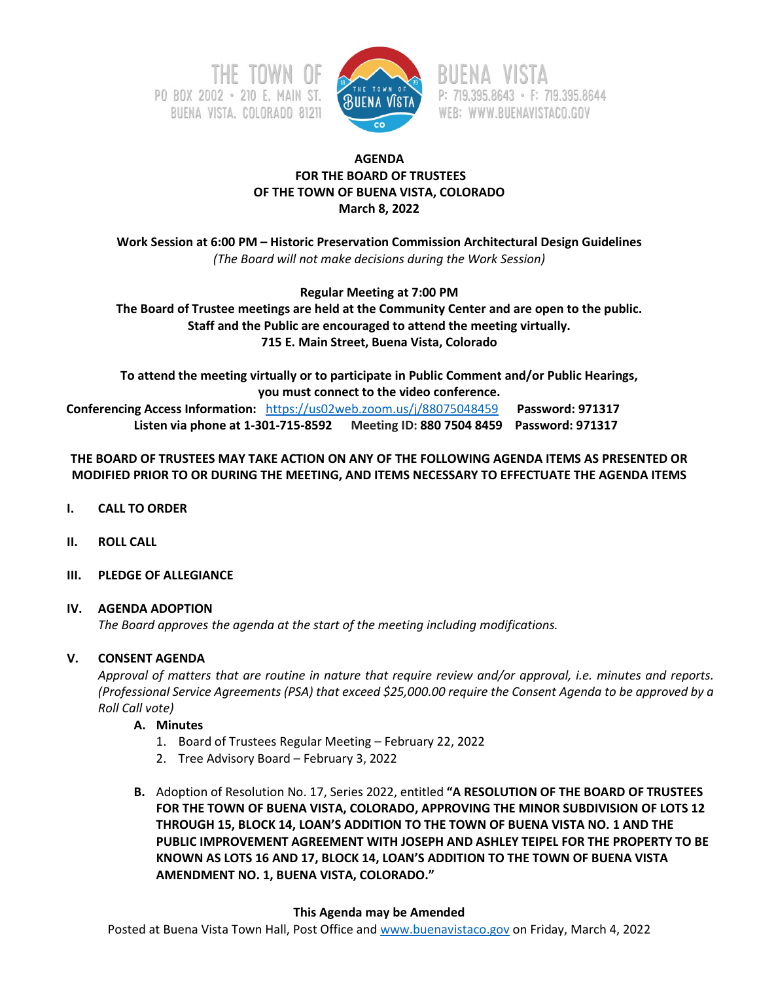



P: 719.395.8643 · F: 719.395.8644 WEB: WWW.BUENAVISTACO.GOV

## **AGENDA FOR THE BOARD OF TRUSTEES OF THE TOWN OF BUENA VISTA, COLORADO March 8, 2022**

**Work Session at 6:00 PM – Historic Preservation Commission Architectural Design Guidelines** *(The Board will not make decisions during the Work Session)*

**Regular Meeting at 7:00 PM**

**The Board of Trustee meetings are held at the Community Center and are open to the public. Staff and the Public are encouraged to attend the meeting virtually. 715 E. Main Street, Buena Vista, Colorado**

**To attend the meeting virtually or to participate in Public Comment and/or Public Hearings, you must connect to the video conference. Conferencing Access Information:** <https://us02web.zoom.us/j/88075048459>**Password: 971317 Listen via phone at 1-301-715-8592 Meeting ID: 880 7504 8459 Password: 971317**

# **THE BOARD OF TRUSTEES MAY TAKE ACTION ON ANY OF THE FOLLOWING AGENDA ITEMS AS PRESENTED OR MODIFIED PRIOR TO OR DURING THE MEETING, AND ITEMS NECESSARY TO EFFECTUATE THE AGENDA ITEMS**

- **I. CALL TO ORDER**
- **II. ROLL CALL**
- **III. PLEDGE OF ALLEGIANCE**

## **IV. AGENDA ADOPTION**

*The Board approves the agenda at the start of the meeting including modifications.*

# **V. CONSENT AGENDA**

*Approval of matters that are routine in nature that require review and/or approval, i.e. minutes and reports. (Professional Service Agreements (PSA) that exceed \$25,000.00 require the Consent Agenda to be approved by a Roll Call vote)*

## **A. Minutes**

- 1. Board of Trustees Regular Meeting February 22, 2022
- 2. Tree Advisory Board February 3, 2022
- **B.** Adoption of Resolution No. 17, Series 2022, entitled **"A RESOLUTION OF THE BOARD OF TRUSTEES FOR THE TOWN OF BUENA VISTA, COLORADO, APPROVING THE MINOR SUBDIVISION OF LOTS 12 THROUGH 15, BLOCK 14, LOAN'S ADDITION TO THE TOWN OF BUENA VISTA NO. 1 AND THE PUBLIC IMPROVEMENT AGREEMENT WITH JOSEPH AND ASHLEY TEIPEL FOR THE PROPERTY TO BE KNOWN AS LOTS 16 AND 17, BLOCK 14, LOAN'S ADDITION TO THE TOWN OF BUENA VISTA AMENDMENT NO. 1, BUENA VISTA, COLORADO."**

## **This Agenda may be Amended**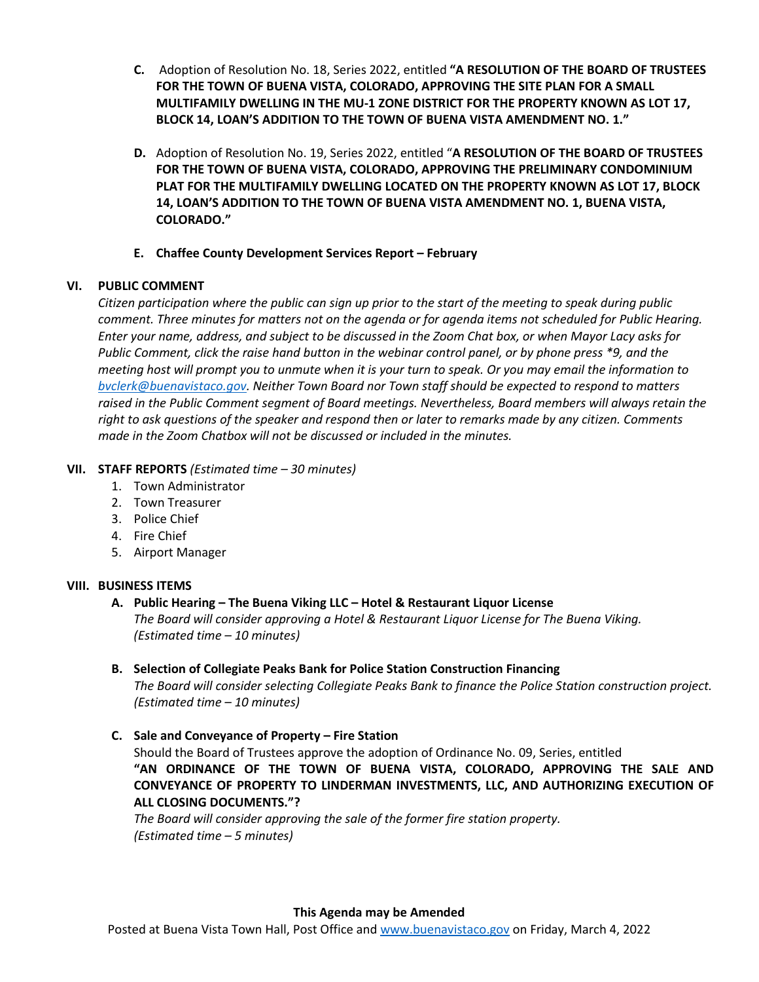- **C.** Adoption of Resolution No. 18, Series 2022, entitled **"A RESOLUTION OF THE BOARD OF TRUSTEES FOR THE TOWN OF BUENA VISTA, COLORADO, APPROVING THE SITE PLAN FOR A SMALL MULTIFAMILY DWELLING IN THE MU-1 ZONE DISTRICT FOR THE PROPERTY KNOWN AS LOT 17, BLOCK 14, LOAN'S ADDITION TO THE TOWN OF BUENA VISTA AMENDMENT NO. 1."**
- **D.** Adoption of Resolution No. 19, Series 2022, entitled "**A RESOLUTION OF THE BOARD OF TRUSTEES FOR THE TOWN OF BUENA VISTA, COLORADO, APPROVING THE PRELIMINARY CONDOMINIUM PLAT FOR THE MULTIFAMILY DWELLING LOCATED ON THE PROPERTY KNOWN AS LOT 17, BLOCK 14, LOAN'S ADDITION TO THE TOWN OF BUENA VISTA AMENDMENT NO. 1, BUENA VISTA, COLORADO."**
- **E. Chaffee County Development Services Report – February**

# **VI. PUBLIC COMMENT**

*Citizen participation where the public can sign up prior to the start of the meeting to speak during public comment. Three minutes for matters not on the agenda or for agenda items not scheduled for Public Hearing. Enter your name, address, and subject to be discussed in the Zoom Chat box, or when Mayor Lacy asks for Public Comment, click the raise hand button in the webinar control panel, or by phone press \*9, and the meeting host will prompt you to unmute when it is your turn to speak. Or you may email the information to [bvclerk@buenavistaco.gov.](mailto:bvclerk@buenavistaco.gov) Neither Town Board nor Town staff should be expected to respond to matters raised in the Public Comment segment of Board meetings. Nevertheless, Board members will always retain the right to ask questions of the speaker and respond then or later to remarks made by any citizen. Comments made in the Zoom Chatbox will not be discussed or included in the minutes.*

# **VII. STAFF REPORTS** *(Estimated time – 30 minutes)*

- 1. Town Administrator
- 2. Town Treasurer
- 3. Police Chief
- 4. Fire Chief
- 5. Airport Manager

# **VIII. BUSINESS ITEMS**

## **A. Public Hearing – The Buena Viking LLC – Hotel & Restaurant Liquor License** *The Board will consider approving a Hotel & Restaurant Liquor License for The Buena Viking. (Estimated time – 10 minutes)*

# **B. Selection of Collegiate Peaks Bank for Police Station Construction Financing**

*The Board will consider selecting Collegiate Peaks Bank to finance the Police Station construction project. (Estimated time – 10 minutes)*

**C. Sale and Conveyance of Property – Fire Station**

Should the Board of Trustees approve the adoption of Ordinance No. 09, Series, entitled **"AN ORDINANCE OF THE TOWN OF BUENA VISTA, COLORADO, APPROVING THE SALE AND CONVEYANCE OF PROPERTY TO LINDERMAN INVESTMENTS, LLC, AND AUTHORIZING EXECUTION OF ALL CLOSING DOCUMENTS."?**

*The Board will consider approving the sale of the former fire station property. (Estimated time – 5 minutes)*

#### **This Agenda may be Amended**